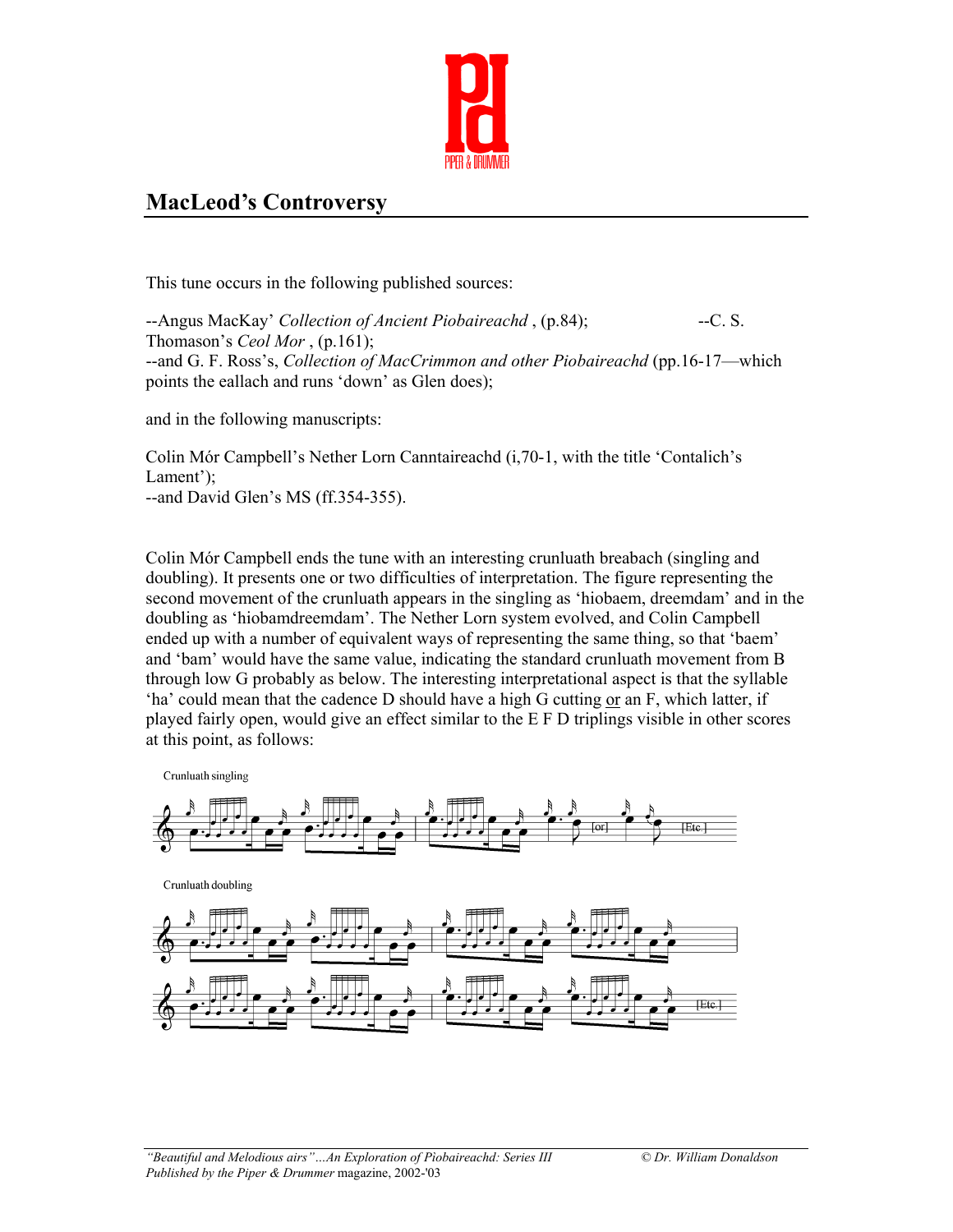

## **MacLeod's Controversy**

This tune occurs in the following published sources:

--Angus MacKay' *Collection of Ancient Piobaireachd*, (p.84); --- C. S. Thomason's *Ceol Mor* , (p.161); --and G. F. Ross's, *Collection of MacCrimmon and other Piobaireachd* (pp.16-17—which points the eallach and runs 'down' as Glen does);

and in the following manuscripts:

Colin Mór Campbell's Nether Lorn Canntaireachd (i,70-1, with the title 'Contalich's Lament'); --and David Glen's MS (ff.354-355).

Colin Mór Campbell ends the tune with an interesting crunluath breabach (singling and doubling). It presents one or two difficulties of interpretation. The figure representing the second movement of the crunluath appears in the singling as 'hiobaem, dreemdam' and in the doubling as 'hiobamdreemdam'. The Nether Lorn system evolved, and Colin Campbell ended up with a number of equivalent ways of representing the same thing, so that 'baem' and 'bam' would have the same value, indicating the standard crunluath movement from B through low G probably as below. The interesting interpretational aspect is that the syllable 'ha' could mean that the cadence D should have a high G cutting or an F, which latter, if played fairly open, would give an effect similar to the E F D triplings visible in other scores at this point, as follows:

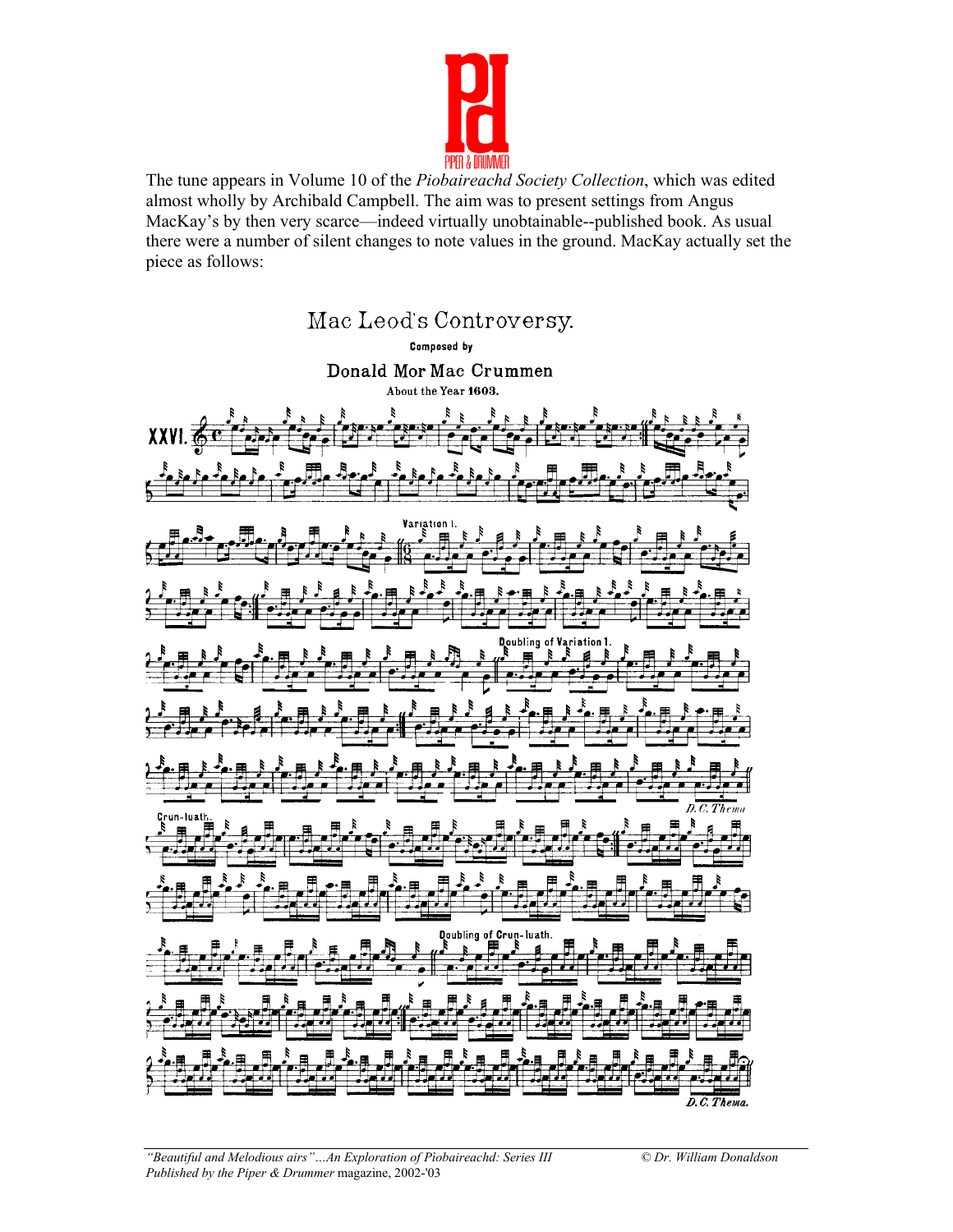

The tune appears in Volume 10 of the *Piobaireachd Society Collection*, which was edited almost wholly by Archibald Campbell. The aim was to present settings from Angus MacKay's by then very scarce—indeed virtually unobtainable--published book. As usual there were a number of silent changes to note values in the ground. MacKay actually set the piece as follows:

## Mac Leod's Controversy.

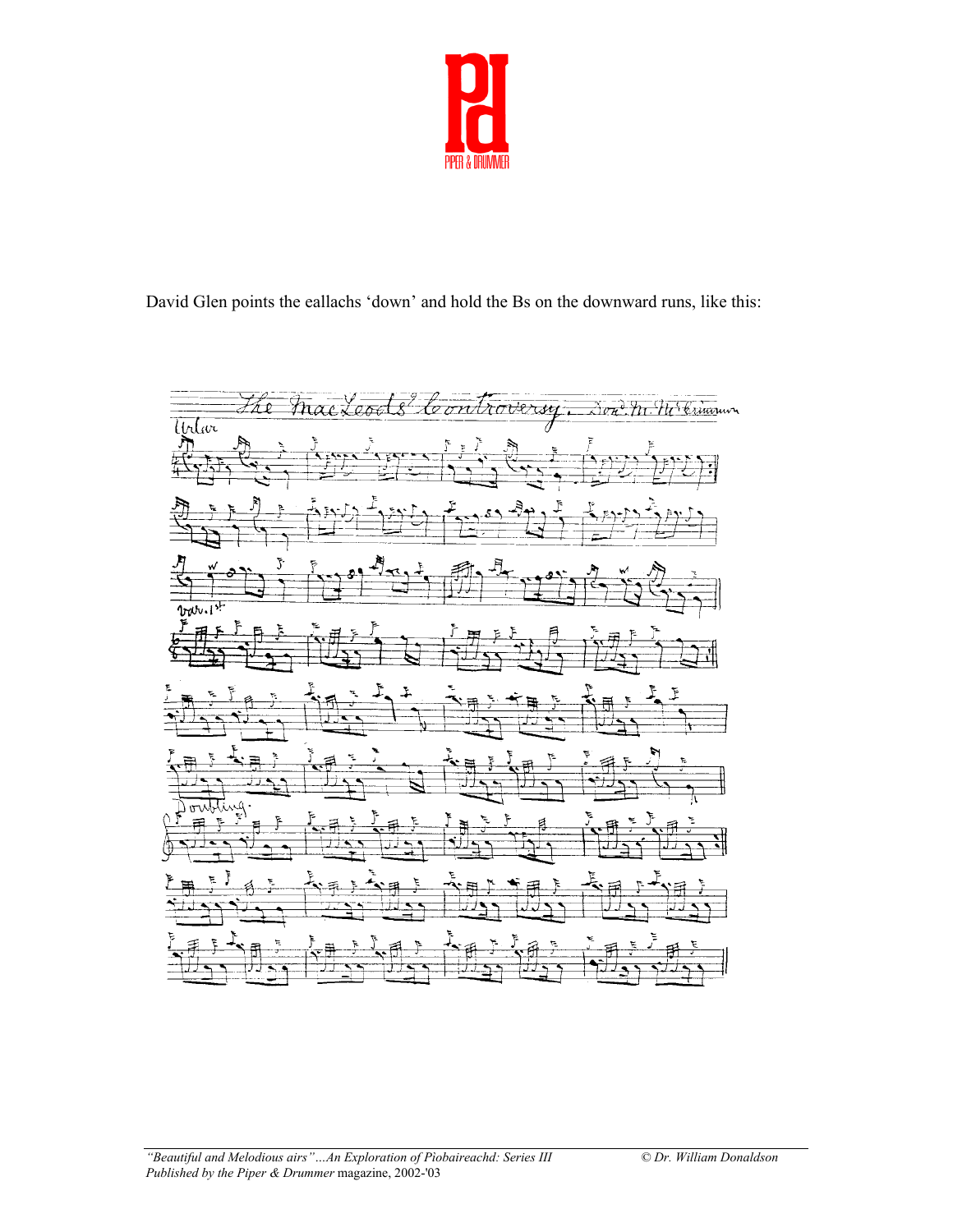

David Glen points the eallachs 'down' and hold the Bs on the downward runs, like this:

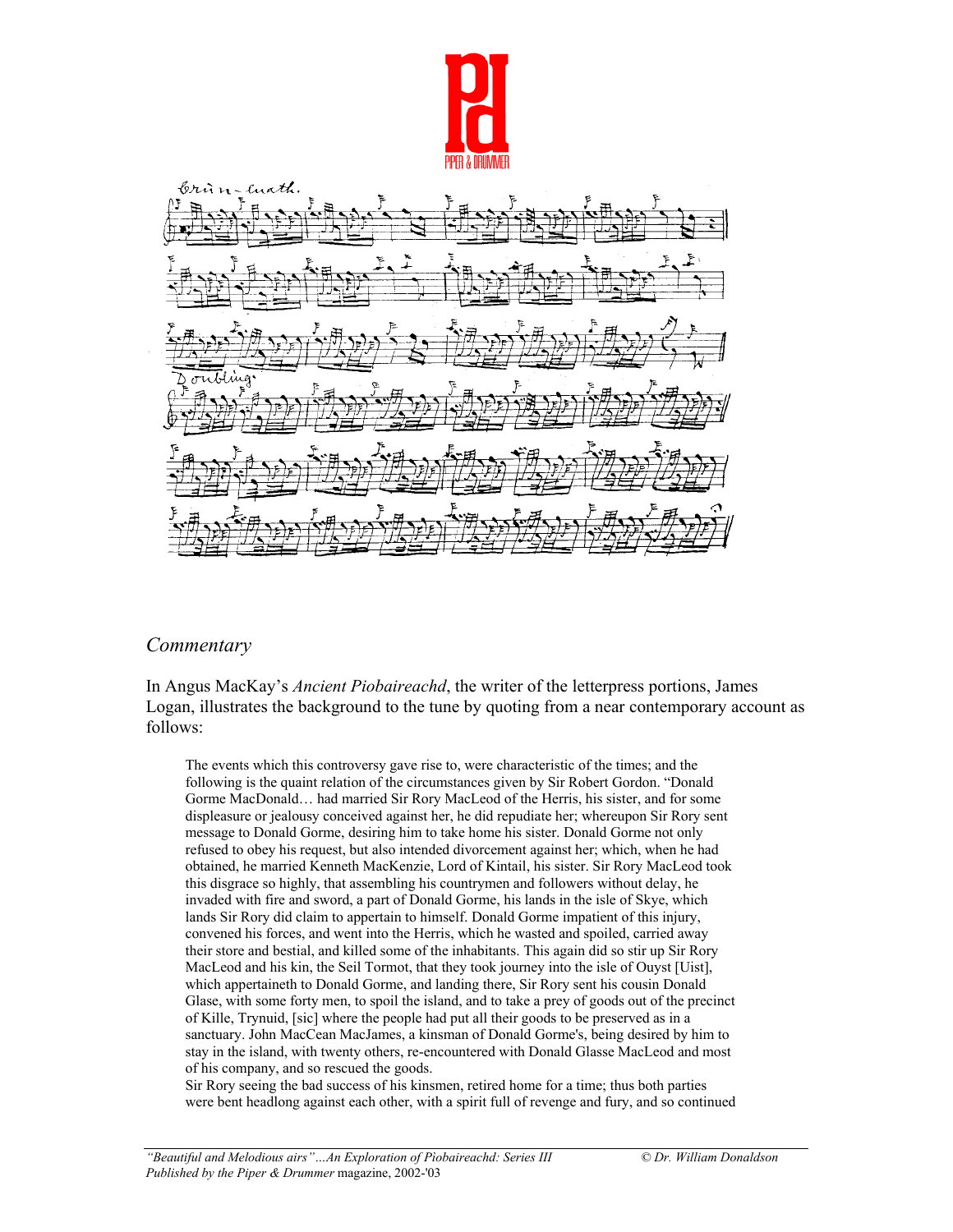



## *Commentary*

In Angus MacKay's *Ancient Piobaireachd*, the writer of the letterpress portions, James Logan, illustrates the background to the tune by quoting from a near contemporary account as follows:

The events which this controversy gave rise to, were characteristic of the times; and the following is the quaint relation of the circumstances given by Sir Robert Gordon. "Donald Gorme MacDonald… had married Sir Rory MacLeod of the Herris, his sister, and for some displeasure or jealousy conceived against her, he did repudiate her; whereupon Sir Rory sent message to Donald Gorme, desiring him to take home his sister. Donald Gorme not only refused to obey his request, but also intended divorcement against her; which, when he had obtained, he married Kenneth MacKenzie, Lord of Kintail, his sister. Sir Rory MacLeod took this disgrace so highly, that assembling his countrymen and followers without delay, he invaded with fire and sword, a part of Donald Gorme, his lands in the isle of Skye, which lands Sir Rory did claim to appertain to himself. Donald Gorme impatient of this injury, convened his forces, and went into the Herris, which he wasted and spoiled, carried away their store and bestial, and killed some of the inhabitants. This again did so stir up Sir Rory MacLeod and his kin, the Seil Tormot, that they took journey into the isle of Ouyst [Uist], which appertaineth to Donald Gorme, and landing there, Sir Rory sent his cousin Donald Glase, with some forty men, to spoil the island, and to take a prey of goods out of the precinct of Kille, Trynuid, [sic] where the people had put all their goods to be preserved as in a sanctuary. John MacCean MacJames, a kinsman of Donald Gorme's, being desired by him to stay in the island, with twenty others, re-encountered with Donald Glasse MacLeod and most of his company, and so rescued the goods.

Sir Rory seeing the bad success of his kinsmen, retired home for a time; thus both parties were bent headlong against each other, with a spirit full of revenge and fury, and so continued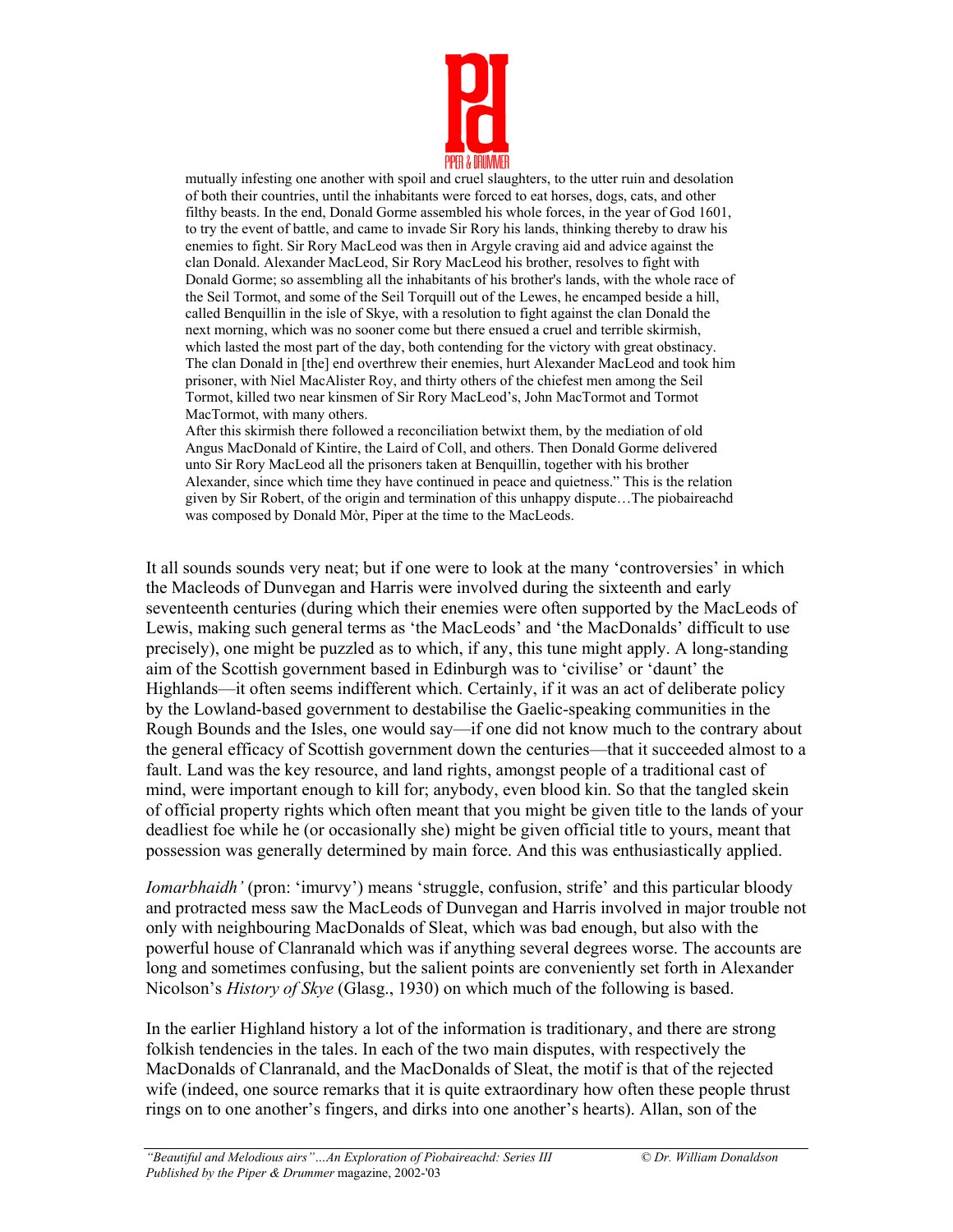

mutually infesting one another with spoil and cruel slaughters, to the utter ruin and desolation of both their countries, until the inhabitants were forced to eat horses, dogs, cats, and other filthy beasts. In the end, Donald Gorme assembled his whole forces, in the year of God 1601, to try the event of battle, and came to invade Sir Rory his lands, thinking thereby to draw his enemies to fight. Sir Rory MacLeod was then in Argyle craving aid and advice against the clan Donald. Alexander MacLeod, Sir Rory MacLeod his brother, resolves to fight with Donald Gorme; so assembling all the inhabitants of his brother's lands, with the whole race of the Seil Tormot, and some of the Seil Torquill out of the Lewes, he encamped beside a hill, called Benquillin in the isle of Skye, with a resolution to fight against the clan Donald the next morning, which was no sooner come but there ensued a cruel and terrible skirmish, which lasted the most part of the day, both contending for the victory with great obstinacy. The clan Donald in [the] end overthrew their enemies, hurt Alexander MacLeod and took him prisoner, with Niel MacAlister Roy, and thirty others of the chiefest men among the Seil Tormot, killed two near kinsmen of Sir Rory MacLeod's, John MacTormot and Tormot MacTormot, with many others.

After this skirmish there followed a reconciliation betwixt them, by the mediation of old Angus MacDonald of Kintire, the Laird of Coll, and others. Then Donald Gorme delivered unto Sir Rory MacLeod all the prisoners taken at Benquillin, together with his brother Alexander, since which time they have continued in peace and quietness." This is the relation given by Sir Robert, of the origin and termination of this unhappy dispute…The piobaireachd was composed by Donald Mòr, Piper at the time to the MacLeods.

It all sounds sounds very neat; but if one were to look at the many 'controversies' in which the Macleods of Dunvegan and Harris were involved during the sixteenth and early seventeenth centuries (during which their enemies were often supported by the MacLeods of Lewis, making such general terms as 'the MacLeods' and 'the MacDonalds' difficult to use precisely), one might be puzzled as to which, if any, this tune might apply. A long-standing aim of the Scottish government based in Edinburgh was to 'civilise' or 'daunt' the Highlands—it often seems indifferent which. Certainly, if it was an act of deliberate policy by the Lowland-based government to destabilise the Gaelic-speaking communities in the Rough Bounds and the Isles, one would say—if one did not know much to the contrary about the general efficacy of Scottish government down the centuries—that it succeeded almost to a fault. Land was the key resource, and land rights, amongst people of a traditional cast of mind, were important enough to kill for; anybody, even blood kin. So that the tangled skein of official property rights which often meant that you might be given title to the lands of your deadliest foe while he (or occasionally she) might be given official title to yours, meant that possession was generally determined by main force. And this was enthusiastically applied.

*Iomarbhaidh'* (pron: 'imurvy') means 'struggle, confusion, strife' and this particular bloody and protracted mess saw the MacLeods of Dunvegan and Harris involved in major trouble not only with neighbouring MacDonalds of Sleat, which was bad enough, but also with the powerful house of Clanranald which was if anything several degrees worse. The accounts are long and sometimes confusing, but the salient points are conveniently set forth in Alexander Nicolson's *History of Skye* (Glasg., 1930) on which much of the following is based.

In the earlier Highland history a lot of the information is traditionary, and there are strong folkish tendencies in the tales. In each of the two main disputes, with respectively the MacDonalds of Clanranald, and the MacDonalds of Sleat, the motif is that of the rejected wife (indeed, one source remarks that it is quite extraordinary how often these people thrust rings on to one another's fingers, and dirks into one another's hearts). Allan, son of the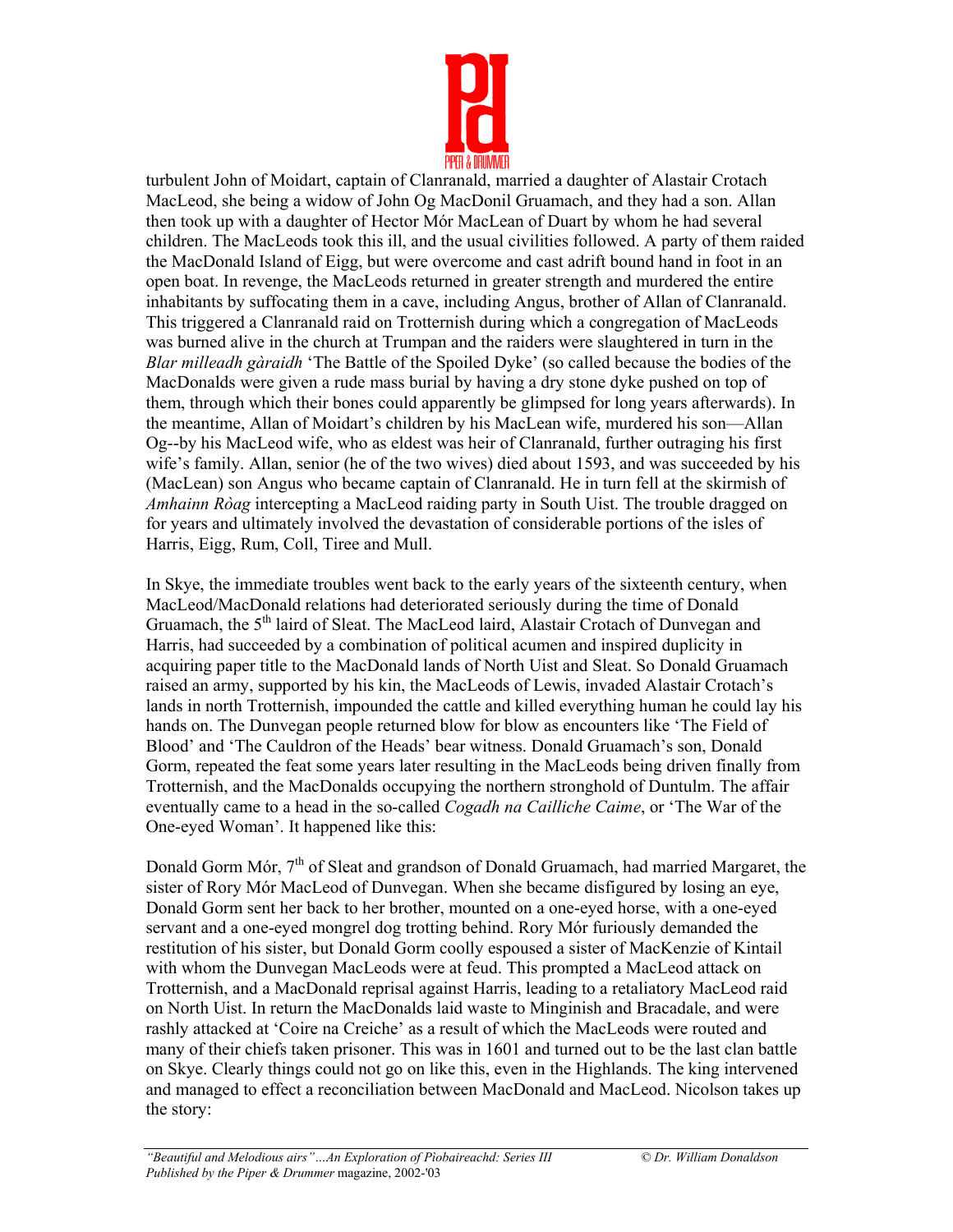

turbulent John of Moidart, captain of Clanranald, married a daughter of Alastair Crotach MacLeod, she being a widow of John Og MacDonil Gruamach, and they had a son. Allan then took up with a daughter of Hector Mór MacLean of Duart by whom he had several children. The MacLeods took this ill, and the usual civilities followed. A party of them raided the MacDonald Island of Eigg, but were overcome and cast adrift bound hand in foot in an open boat. In revenge, the MacLeods returned in greater strength and murdered the entire inhabitants by suffocating them in a cave, including Angus, brother of Allan of Clanranald. This triggered a Clanranald raid on Trotternish during which a congregation of MacLeods was burned alive in the church at Trumpan and the raiders were slaughtered in turn in the *Blar milleadh gàraidh* 'The Battle of the Spoiled Dyke' (so called because the bodies of the MacDonalds were given a rude mass burial by having a dry stone dyke pushed on top of them, through which their bones could apparently be glimpsed for long years afterwards). In the meantime, Allan of Moidart's children by his MacLean wife, murdered his son—Allan Og--by his MacLeod wife, who as eldest was heir of Clanranald, further outraging his first wife's family. Allan, senior (he of the two wives) died about 1593, and was succeeded by his (MacLean) son Angus who became captain of Clanranald. He in turn fell at the skirmish of *Amhainn Ròag* intercepting a MacLeod raiding party in South Uist. The trouble dragged on for years and ultimately involved the devastation of considerable portions of the isles of Harris, Eigg, Rum, Coll, Tiree and Mull.

In Skye, the immediate troubles went back to the early years of the sixteenth century, when MacLeod/MacDonald relations had deteriorated seriously during the time of Donald Gruamach, the 5<sup>th</sup> laird of Sleat. The MacLeod laird, Alastair Crotach of Dunvegan and Harris, had succeeded by a combination of political acumen and inspired duplicity in acquiring paper title to the MacDonald lands of North Uist and Sleat. So Donald Gruamach raised an army, supported by his kin, the MacLeods of Lewis, invaded Alastair Crotach's lands in north Trotternish, impounded the cattle and killed everything human he could lay his hands on. The Dunvegan people returned blow for blow as encounters like 'The Field of Blood' and 'The Cauldron of the Heads' bear witness. Donald Gruamach's son, Donald Gorm, repeated the feat some years later resulting in the MacLeods being driven finally from Trotternish, and the MacDonalds occupying the northern stronghold of Duntulm. The affair eventually came to a head in the so-called *Cogadh na Cailliche Caime*, or 'The War of the One-eyed Woman'. It happened like this:

Donald Gorm Mór,  $7<sup>th</sup>$  of Sleat and grandson of Donald Gruamach, had married Margaret, the sister of Rory Mór MacLeod of Dunvegan. When she became disfigured by losing an eye, Donald Gorm sent her back to her brother, mounted on a one-eyed horse, with a one-eyed servant and a one-eyed mongrel dog trotting behind. Rory Mór furiously demanded the restitution of his sister, but Donald Gorm coolly espoused a sister of MacKenzie of Kintail with whom the Dunvegan MacLeods were at feud. This prompted a MacLeod attack on Trotternish, and a MacDonald reprisal against Harris, leading to a retaliatory MacLeod raid on North Uist. In return the MacDonalds laid waste to Minginish and Bracadale, and were rashly attacked at 'Coire na Creiche' as a result of which the MacLeods were routed and many of their chiefs taken prisoner. This was in 1601 and turned out to be the last clan battle on Skye. Clearly things could not go on like this, even in the Highlands. The king intervened and managed to effect a reconciliation between MacDonald and MacLeod. Nicolson takes up the story: